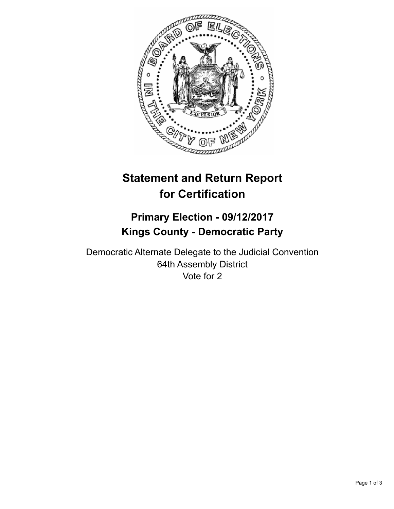

## **Statement and Return Report for Certification**

## **Primary Election - 09/12/2017 Kings County - Democratic Party**

Democratic Alternate Delegate to the Judicial Convention 64th Assembly District Vote for 2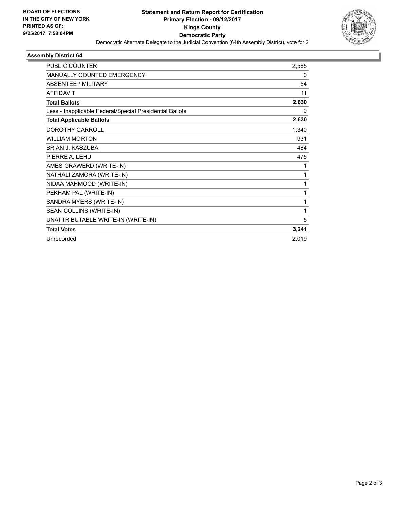

## **Assembly District 64**

| <b>PUBLIC COUNTER</b>                                    | 2,565 |
|----------------------------------------------------------|-------|
| MANUALLY COUNTED EMERGENCY                               | 0     |
| <b>ABSENTEE / MILITARY</b>                               | 54    |
| <b>AFFIDAVIT</b>                                         | 11    |
| <b>Total Ballots</b>                                     | 2,630 |
| Less - Inapplicable Federal/Special Presidential Ballots | 0     |
| <b>Total Applicable Ballots</b>                          | 2,630 |
| DOROTHY CARROLL                                          | 1,340 |
| <b>WILLIAM MORTON</b>                                    | 931   |
| <b>BRIAN J. KASZUBA</b>                                  | 484   |
| PIERRE A. LEHU                                           | 475   |
| AMES GRAWERD (WRITE-IN)                                  | 1     |
| NATHALI ZAMORA (WRITE-IN)                                | 1     |
| NIDAA MAHMOOD (WRITE-IN)                                 | 1     |
| PEKHAM PAL (WRITE-IN)                                    | 1     |
| SANDRA MYERS (WRITE-IN)                                  | 1     |
| SEAN COLLINS (WRITE-IN)                                  | 1     |
| UNATTRIBUTABLE WRITE-IN (WRITE-IN)                       | 5     |
| <b>Total Votes</b>                                       | 3,241 |
| Unrecorded                                               | 2,019 |